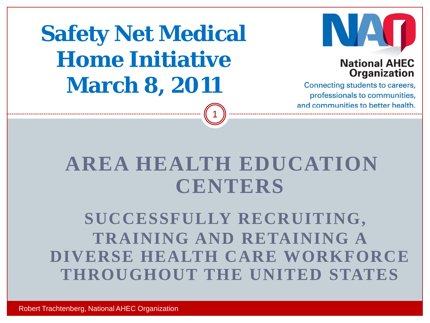**Safety Net Medical Home Initiative March 8, 2011**



### **National AHEC Organization**

Connecting students to careers, professionals to communities, and communities to better health.

## **AREA HEALTH EDUCATION CENTERS**

1

**SUCCESSFULLY RECRUITING, TRAINING AND RETAINING A DIVERSE HEALTH CARE WORKFORCE THROUGHOUT THE UNITED STATES**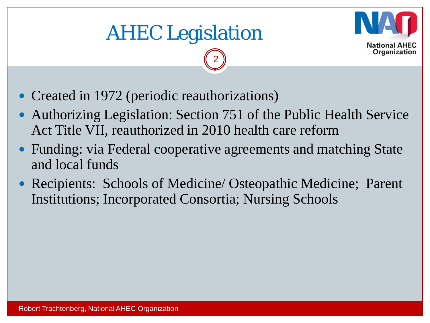



- Created in 1972 (periodic reauthorizations)
- Authorizing Legislation: Section 751 of the Public Health Service Act Title VII, reauthorized in 2010 health care reform

2

- Funding: via Federal cooperative agreements and matching State and local funds
- Recipients: Schools of Medicine/ Osteopathic Medicine; Parent Institutions; Incorporated Consortia; Nursing Schools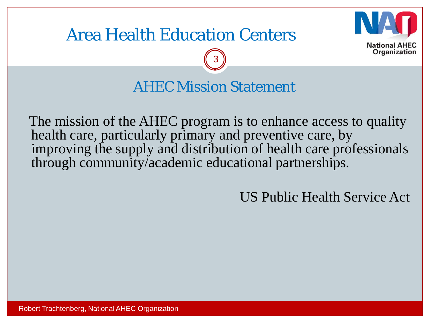

## Area Health Education Centers

AHEC Mission Statement

3

The mission of the AHEC program is to enhance access to quality health care, particularly primary and preventive care, by improving the supply and distribution of health care professionals through community/academic educational partnerships.

US Public Health Service Act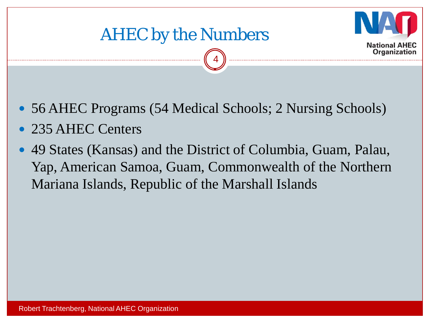



56 AHEC Programs (54 Medical Schools; 2 Nursing Schools)

4

- 235 AHEC Centers
- 49 States (Kansas) and the District of Columbia, Guam, Palau, Yap, American Samoa, Guam, Commonwealth of the Northern Mariana Islands, Republic of the Marshall Islands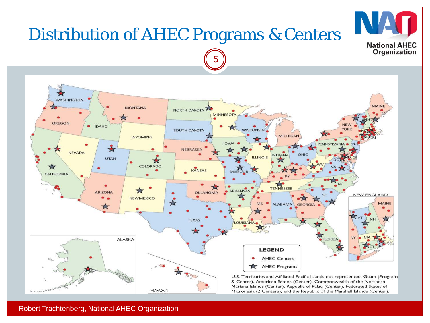

Robert Trachtenberg, National AHEC Organization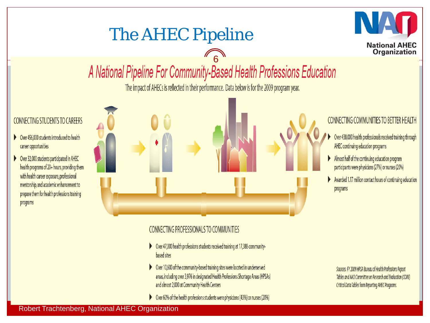## The AHEC Pipeline



# 6

The impact of AHECs is reflected in their performance. Data below is for the 2009 program year.

### **CONNECTING STUDENTS TO CAREERS**

- ▶ Over 456,000 students introduced to health career opportunities
- ▶ Over 32,000 students participated in AHEC health programs of 20+ hours, providing them with health career exposure, professional mentorship, and academic enhancement to prepare them for health professions training programs

**CONNECTING COMMUNITIES TO BETTER HEALTH** Over 438,000 health professionals received training through AHEC continuing education programs Almost half of the continuing education program participants were physicians (27%) or nurses (20%) Awarded 1.17 million contact hours of continuing education programs

### **CONNECTING PROFESSIONALS TO COMMUNITIES**

- ▶ Over 47,000 health professions students received training at 17,388 communitybased sites
- > Over 10,600 of the community-based training sites were located in underserved areas, including over 3,976 in designated Health Professions Shortage Areas (HPSAs) and almost 2,000 at Community Health Centers
- ▶ Over 60% of the health professions students were physicians (43%) or nurses (20%)

Sources: FY 2009 HRSA Bureau of Health Professions Report Tables and NAO Committee on Research and Evaluation (CORE) Critical Data Tables from Reporting AHEC Programs.